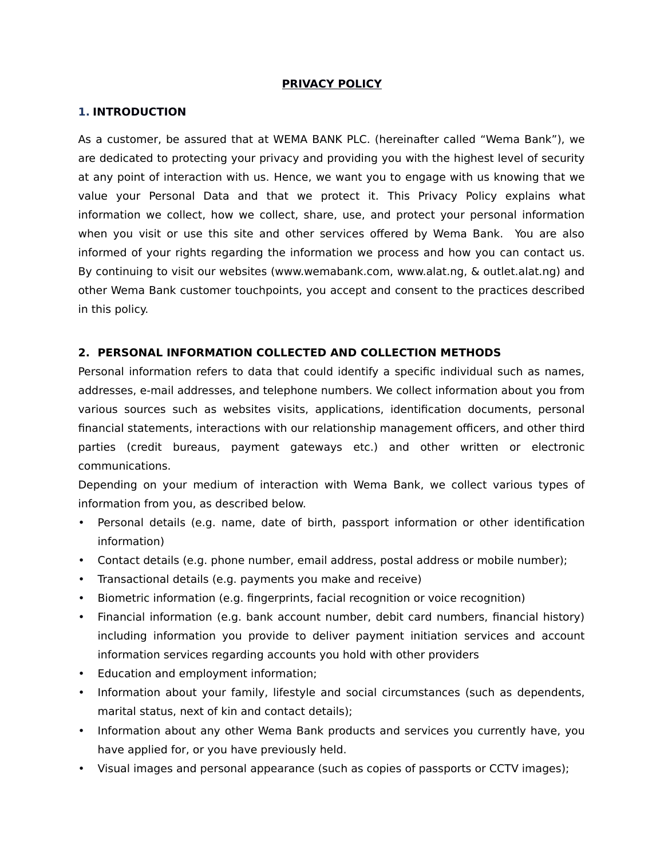#### **PRIVACY POLICY**

#### **1. INTRODUCTION**

As a customer, be assured that at WEMA BANK PLC. (hereinafter called "Wema Bank"), we are dedicated to protecting your privacy and providing you with the highest level of security at any point of interaction with us. Hence, we want you to engage with us knowing that we value your Personal Data and that we protect it. This Privacy Policy explains what information we collect, how we collect, share, use, and protect your personal information when you visit or use this site and other services offered by Wema Bank. You are also informed of your rights regarding the information we process and how you can contact us. By continuing to visit our websites (www.wemabank.com, www.alat.ng, & outlet.alat.ng) and other Wema Bank customer touchpoints, you accept and consent to the practices described in this policy.

#### **2. PERSONAL INFORMATION COLLECTED AND COLLECTION METHODS**

Personal information refers to data that could identify a specific individual such as names, addresses, e-mail addresses, and telephone numbers. We collect information about you from various sources such as websites visits, applications, identification documents, personal financial statements, interactions with our relationship management officers, and other third parties (credit bureaus, payment gateways etc.) and other written or electronic communications.

Depending on your medium of interaction with Wema Bank, we collect various types of information from you, as described below.

- Personal details (e.g. name, date of birth, passport information or other identification information)
- Contact details (e.g. phone number, email address, postal address or mobile number);
- Transactional details (e.g. payments you make and receive)
- Biometric information (e.g. fingerprints, facial recognition or voice recognition)
- Financial information (e.g. bank account number, debit card numbers, financial history) including information you provide to deliver payment initiation services and account information services regarding accounts you hold with other providers
- Education and employment information;
- Information about your family, lifestyle and social circumstances (such as dependents, marital status, next of kin and contact details);
- Information about any other Wema Bank products and services you currently have, you have applied for, or you have previously held.
- Visual images and personal appearance (such as copies of passports or CCTV images);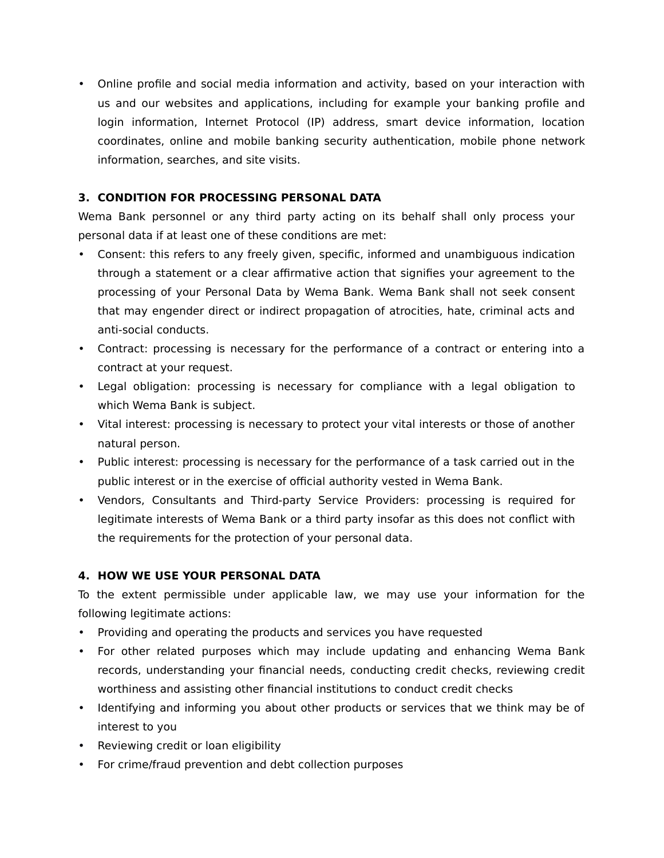• Online profile and social media information and activity, based on your interaction with us and our websites and applications, including for example your banking profile and login information, Internet Protocol (IP) address, smart device information, location coordinates, online and mobile banking security authentication, mobile phone network information, searches, and site visits.

## **3. CONDITION FOR PROCESSING PERSONAL DATA**

Wema Bank personnel or any third party acting on its behalf shall only process your personal data if at least one of these conditions are met:

- Consent: this refers to any freely given, specific, informed and unambiguous indication through a statement or a clear affirmative action that signifies your agreement to the processing of your Personal Data by Wema Bank. Wema Bank shall not seek consent that may engender direct or indirect propagation of atrocities, hate, criminal acts and anti-social conducts.
- Contract: processing is necessary for the performance of a contract or entering into a contract at your request.
- Legal obligation: processing is necessary for compliance with a legal obligation to which Wema Bank is subject.
- Vital interest: processing is necessary to protect your vital interests or those of another natural person.
- Public interest: processing is necessary for the performance of a task carried out in the public interest or in the exercise of official authority vested in Wema Bank.
- Vendors, Consultants and Third-party Service Providers: processing is required for legitimate interests of Wema Bank or a third party insofar as this does not conflict with the requirements for the protection of your personal data.

## **4. HOW WE USE YOUR PERSONAL DATA**

To the extent permissible under applicable law, we may use your information for the following legitimate actions:

- Providing and operating the products and services you have requested
- For other related purposes which may include updating and enhancing Wema Bank records, understanding your financial needs, conducting credit checks, reviewing credit worthiness and assisting other financial institutions to conduct credit checks
- Identifying and informing you about other products or services that we think may be of interest to you
- Reviewing credit or loan eligibility
- For crime/fraud prevention and debt collection purposes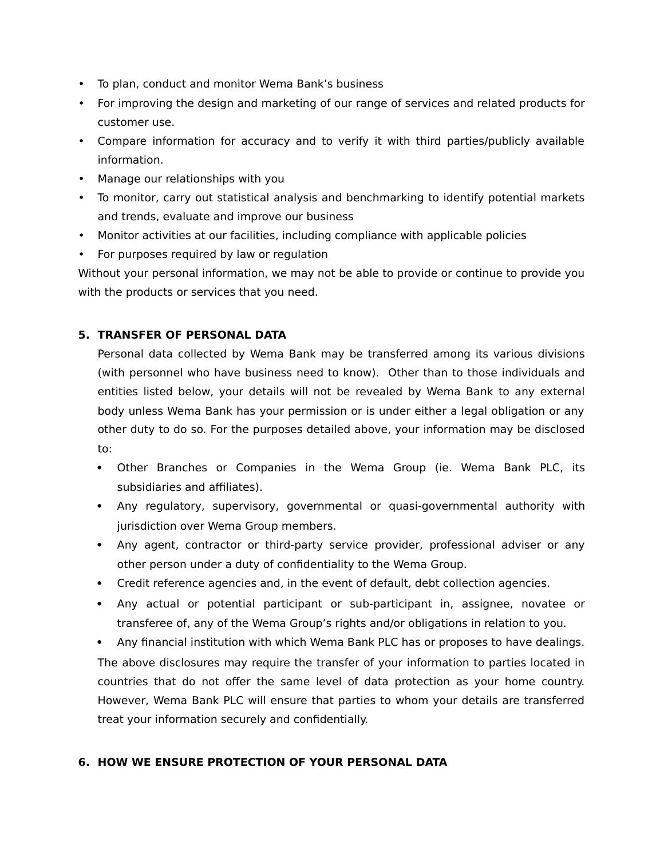- To plan, conduct and monitor Wema Bank's business
- For improving the design and marketing of our range of services and related products for customer use.
- Compare information for accuracy and to verify it with third parties/publicly available information.
- Manage our relationships with you
- To monitor, carry out statistical analysis and benchmarking to identify potential markets and trends, evaluate and improve our business
- Monitor activities at our facilities, including compliance with applicable policies
- For purposes required by law or regulation

Without your personal information, we may not be able to provide or continue to provide you with the products or services that you need.

## **5. TRANSFER OF PERSONAL DATA**

Personal data collected by Wema Bank may be transferred among its various divisions (with personnel who have business need to know). Other than to those individuals and entities listed below, your details will not be revealed by Wema Bank to any external body unless Wema Bank has your permission or is under either a legal obligation or any other duty to do so. For the purposes detailed above, your information may be disclosed to:

- Other Branches or Companies in the Wema Group (ie. Wema Bank PLC, its subsidiaries and affiliates).
- Any regulatory, supervisory, governmental or quasi-governmental authority with jurisdiction over Wema Group members.
- Any agent, contractor or third-party service provider, professional adviser or any other person under a duty of confidentiality to the Wema Group.
- Credit reference agencies and, in the event of default, debt collection agencies.
- Any actual or potential participant or sub-participant in, assignee, novatee or transferee of, any of the Wema Group's rights and/or obligations in relation to you.

 Any financial institution with which Wema Bank PLC has or proposes to have dealings. The above disclosures may require the transfer of your information to parties located in countries that do not offer the same level of data protection as your home country. However, Wema Bank PLC will ensure that parties to whom your details are transferred treat your information securely and confidentially.

## **6. HOW WE ENSURE PROTECTION OF YOUR PERSONAL DATA**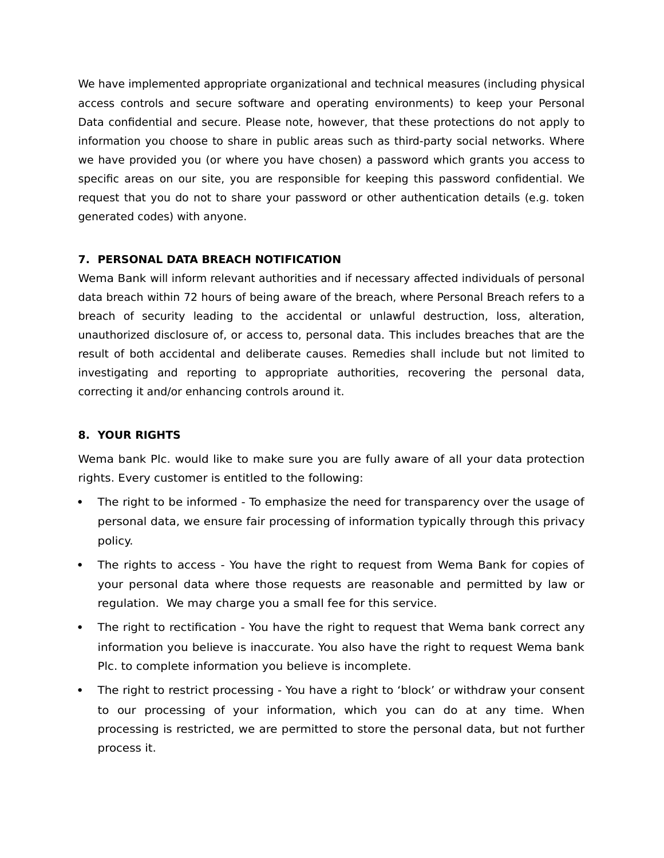We have implemented appropriate organizational and technical measures (including physical access controls and secure software and operating environments) to keep your Personal Data confidential and secure. Please note, however, that these protections do not apply to information you choose to share in public areas such as third-party social networks. Where we have provided you (or where you have chosen) a password which grants you access to specific areas on our site, you are responsible for keeping this password confidential. We request that you do not to share your password or other authentication details (e.g. token generated codes) with anyone.

## **7. PERSONAL DATA BREACH NOTIFICATION**

Wema Bank will inform relevant authorities and if necessary affected individuals of personal data breach within 72 hours of being aware of the breach, where Personal Breach refers to a breach of security leading to the accidental or unlawful destruction, loss, alteration, unauthorized disclosure of, or access to, personal data. This includes breaches that are the result of both accidental and deliberate causes. Remedies shall include but not limited to investigating and reporting to appropriate authorities, recovering the personal data, correcting it and/or enhancing controls around it.

# **8. YOUR RIGHTS**

Wema bank Plc. would like to make sure you are fully aware of all your data protection rights. Every customer is entitled to the following:

- The right to be informed To emphasize the need for transparency over the usage of personal data, we ensure fair processing of information typically through this privacy policy.
- The rights to access You have the right to request from Wema Bank for copies of your personal data where those requests are reasonable and permitted by law or regulation. We may charge you a small fee for this service.
- The right to rectification You have the right to request that Wema bank correct any information you believe is inaccurate. You also have the right to request Wema bank Plc. to complete information you believe is incomplete.
- The right to restrict processing You have a right to 'block' or withdraw your consent to our processing of your information, which you can do at any time. When processing is restricted, we are permitted to store the personal data, but not further process it.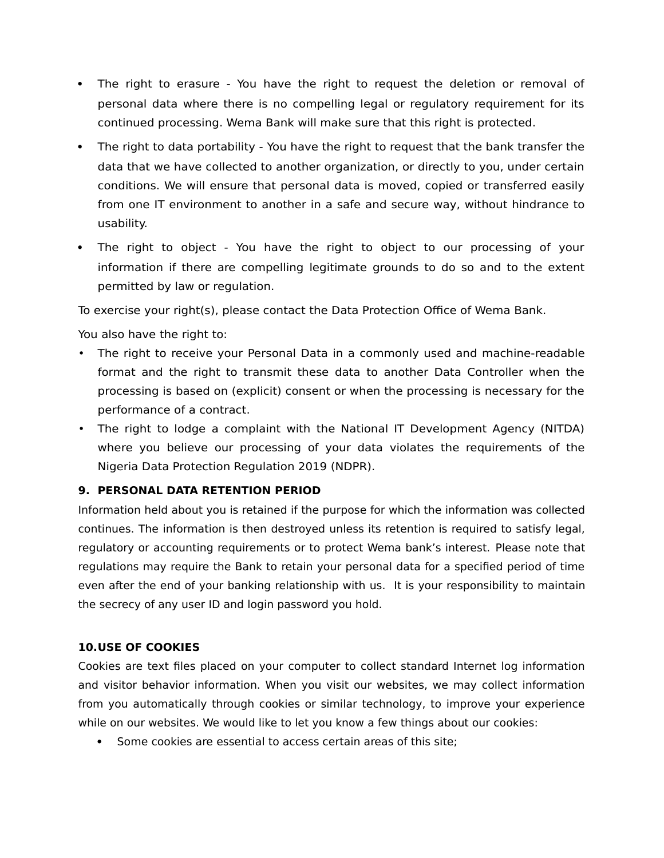- The right to erasure You have the right to request the deletion or removal of personal data where there is no compelling legal or regulatory requirement for its continued processing. Wema Bank will make sure that this right is protected.
- The right to data portability You have the right to request that the bank transfer the data that we have collected to another organization, or directly to you, under certain conditions. We will ensure that personal data is moved, copied or transferred easily from one IT environment to another in a safe and secure way, without hindrance to usability.
- The right to object You have the right to object to our processing of your information if there are compelling legitimate grounds to do so and to the extent permitted by law or regulation.

To exercise your right(s), please contact the Data Protection Office of Wema Bank.

You also have the right to:

- The right to receive your Personal Data in a commonly used and machine-readable format and the right to transmit these data to another Data Controller when the processing is based on (explicit) consent or when the processing is necessary for the performance of a contract.
- The right to lodge a complaint with the National IT Development Agency (NITDA) where you believe our processing of your data violates the requirements of the Nigeria Data Protection Regulation 2019 (NDPR).

## **9. PERSONAL DATA RETENTION PERIOD**

Information held about you is retained if the purpose for which the information was collected continues. The information is then destroyed unless its retention is required to satisfy legal, regulatory or accounting requirements or to protect Wema bank's interest. Please note that regulations may require the Bank to retain your personal data for a specified period of time even after the end of your banking relationship with us. It is your responsibility to maintain the secrecy of any user ID and login password you hold.

## **10.USE OF COOKIES**

Cookies are text files placed on your computer to collect standard Internet log information and visitor behavior information. When you visit our websites, we may collect information from you automatically through cookies or similar technology, to improve your experience while on our websites. We would like to let you know a few things about our cookies:

• Some cookies are essential to access certain areas of this site;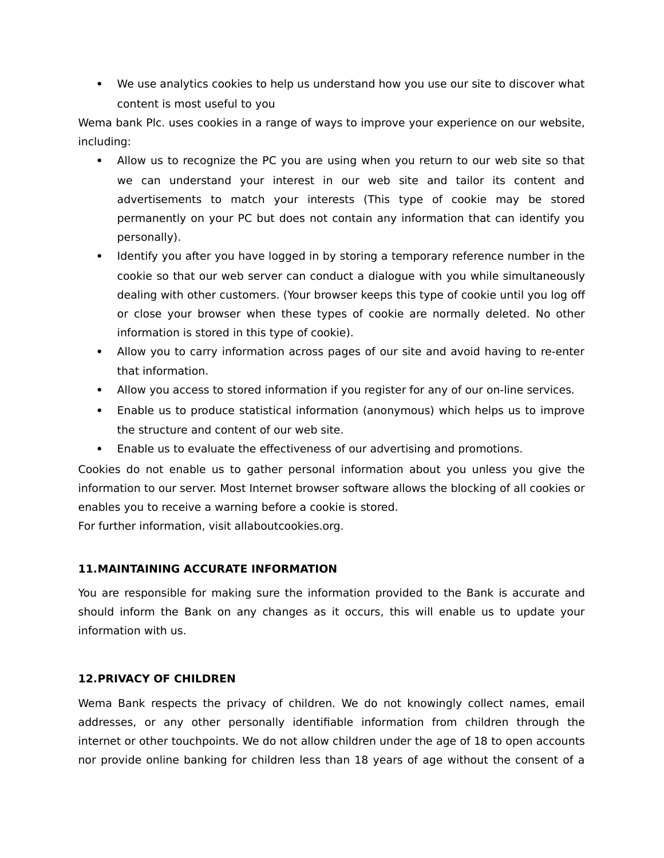We use analytics cookies to help us understand how you use our site to discover what content is most useful to you

Wema bank Plc. uses cookies in a range of ways to improve your experience on our website, including:

- Allow us to recognize the PC you are using when you return to our web site so that we can understand your interest in our web site and tailor its content and advertisements to match your interests (This type of cookie may be stored permanently on your PC but does not contain any information that can identify you personally).
- Identify you after you have logged in by storing a temporary reference number in the cookie so that our web server can conduct a dialogue with you while simultaneously dealing with other customers. (Your browser keeps this type of cookie until you log off or close your browser when these types of cookie are normally deleted. No other information is stored in this type of cookie).
- Allow you to carry information across pages of our site and avoid having to re-enter that information.
- Allow you access to stored information if you register for any of our on-line services.
- Enable us to produce statistical information (anonymous) which helps us to improve the structure and content of our web site.
- Enable us to evaluate the effectiveness of our advertising and promotions.

Cookies do not enable us to gather personal information about you unless you give the information to our server. Most Internet browser software allows the blocking of all cookies or enables you to receive a warning before a cookie is stored.

For further information, visit allaboutcookies.org.

## **11.MAINTAINING ACCURATE INFORMATION**

You are responsible for making sure the information provided to the Bank is accurate and should inform the Bank on any changes as it occurs, this will enable us to update your information with us.

## **12.PRIVACY OF CHILDREN**

Wema Bank respects the privacy of children. We do not knowingly collect names, email addresses, or any other personally identifiable information from children through the internet or other touchpoints. We do not allow children under the age of 18 to open accounts nor provide online banking for children less than 18 years of age without the consent of a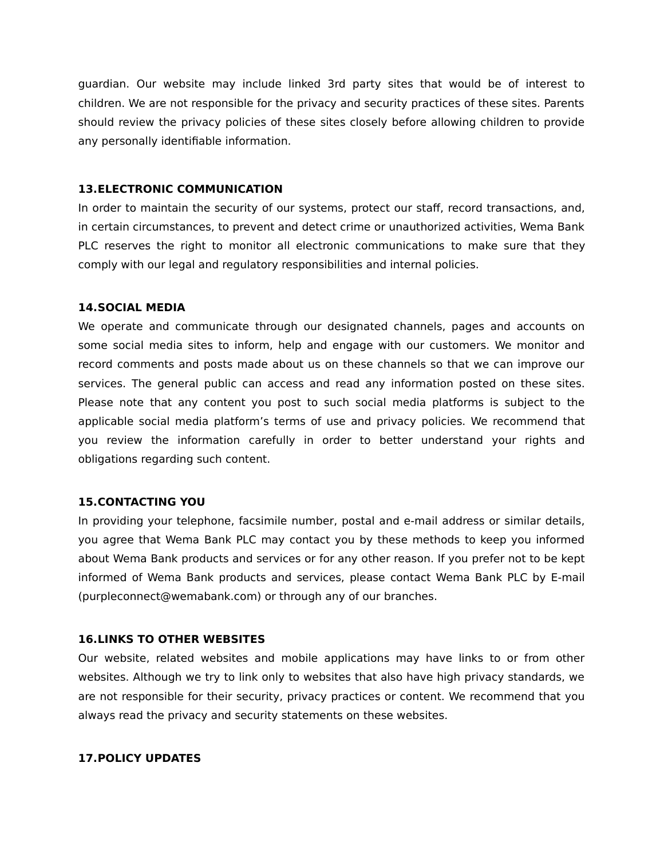guardian. Our website may include linked 3rd party sites that would be of interest to children. We are not responsible for the privacy and security practices of these sites. Parents should review the privacy policies of these sites closely before allowing children to provide any personally identifiable information.

#### **13.ELECTRONIC COMMUNICATION**

In order to maintain the security of our systems, protect our staff, record transactions, and, in certain circumstances, to prevent and detect crime or unauthorized activities, Wema Bank PLC reserves the right to monitor all electronic communications to make sure that they comply with our legal and regulatory responsibilities and internal policies.

#### **14.SOCIAL MEDIA**

We operate and communicate through our designated channels, pages and accounts on some social media sites to inform, help and engage with our customers. We monitor and record comments and posts made about us on these channels so that we can improve our services. The general public can access and read any information posted on these sites. Please note that any content you post to such social media platforms is subject to the applicable social media platform's terms of use and privacy policies. We recommend that you review the information carefully in order to better understand your rights and obligations regarding such content.

## **15.CONTACTING YOU**

In providing your telephone, facsimile number, postal and e-mail address or similar details, you agree that Wema Bank PLC may contact you by these methods to keep you informed about Wema Bank products and services or for any other reason. If you prefer not to be kept informed of Wema Bank products and services, please contact Wema Bank PLC by E-mail (purpleconnect@wemabank.com) or through any of our branches.

## **16.LINKS TO OTHER WEBSITES**

Our website, related websites and mobile applications may have links to or from other websites. Although we try to link only to websites that also have high privacy standards, we are not responsible for their security, privacy practices or content. We recommend that you always read the privacy and security statements on these websites.

#### **17.POLICY UPDATES**